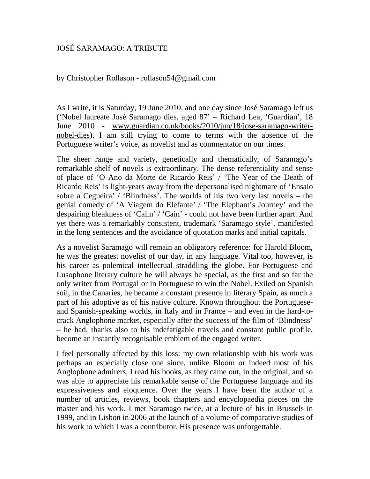## JOSÉ SARAMAGO: A TRIBUTE

## by Christopher Rollason - rollason54@gmail.com

As I write, it is Saturday, 19 June 2010, and one day since José Saramago left us ('Nobel laureate José Saramago dies, aged 87' – Richard Lea, 'Guardian', 18 June 2010 - www.guardian.co.uk/books/2010/jun/18/jose-saramago-writernobel-dies). I am still trying to come to terms with the absence of the Portuguese writer's voice, as novelist and as commentator on our times.

The sheer range and variety, genetically and thematically, of Saramago's remarkable shelf of novels is extraordinary. The dense referentiality and sense of place of 'O Ano da Morte de Ricardo Reis' / 'The Year of the Death of Ricardo Reis' is light-years away from the depersonalised nightmare of 'Ensaio sobre a Cegueira' / 'Blindness'. The worlds of his two very last novels – the genial comedy of 'A Viagem do Elefante' / 'The Elephant's Journey' and the despairing bleakness of 'Caim' / 'Cain' - could not have been further apart. And yet there was a remarkably consistent, trademark 'Saramago style', manifested in the long sentences and the avoidance of quotation marks and initial capitals.

As a novelist Saramago will remain an obligatory reference: for Harold Bloom, he was the greatest novelist of our day, in any language. Vital too, however, is his career as polemical intellectual straddling the globe. For Portuguese and Lusophone literary culture he will always be special, as the first and so far the only writer from Portugal or in Portuguese to win the Nobel. Exiled on Spanish soil, in the Canaries, he became a constant presence in literary Spain, as much a part of his adoptive as of his native culture. Known throughout the Portugueseand Spanish-speaking worlds, in Italy and in France – and even in the hard-tocrack Anglophone market, especially after the success of the film of 'Blindness' – he had, thanks also to his indefatigable travels and constant public profile, become an instantly recognisable emblem of the engaged writer.

I feel personally affected by this loss: my own relationship with his work was perhaps an especially close one since, unlike Bloom or indeed most of his Anglophone admirers, I read his books, as they came out, in the original, and so was able to appreciate his remarkable sense of the Portuguese language and its expressiveness and eloquence. Over the years I have been the author of a number of articles, reviews, book chapters and encyclopaedia pieces on the master and his work. I met Saramago twice, at a lecture of his in Brussels in 1999, and in Lisbon in 2006 at the launch of a volume of comparative studies of his work to which I was a contributor. His presence was unforgettable.